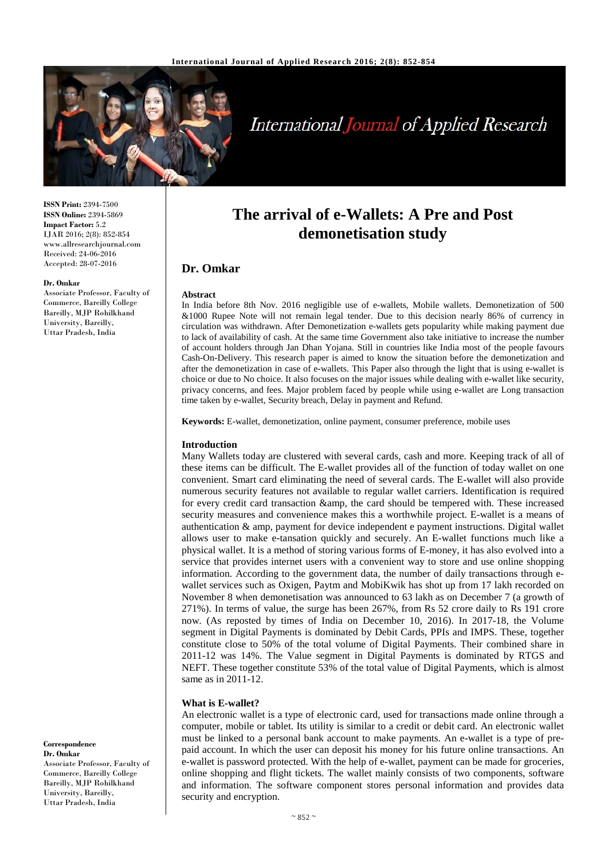

# **International Journal of Applied Research**

**The arrival of e-Wallets: A Pre and Post demonetisation study**

In India before 8th Nov. 2016 negligible use of e-wallets, Mobile wallets. Demonetization of 500 &1000 Rupee Note will not remain legal tender. Due to this decision nearly 86% of currency in circulation was withdrawn. After Demonetization e-wallets gets popularity while making payment due to lack of availability of cash. At the same time Government also take initiative to increase the number of account holders through Jan Dhan Yojana. Still in countries like India most of the people favours Cash-On-Delivery. This research paper is aimed to know the situation before the demonetization and after the demonetization in case of e-wallets. This Paper also through the light that is using e-wallet is choice or due to No choice. It also focuses on the major issues while dealing with e-wallet like security, privacy concerns, and fees. Major problem faced by people while using e-wallet are Long transaction

**ISSN Print:** 2394-7500 **ISSN Online:** 2394-5869 **Impact Factor:** 5.2 IJAR 2016; 2(8): 852-854 www.allresearchjournal.com Received: 24-06-2016 Accepted: 28-07-2016

#### **Dr. Omkar**

Associate Professor, Faculty of Commerce, Bareilly College Bareilly, MJP Rohilkhand University, Bareilly, Uttar Pradesh, India

**Keywords:** E-wallet, demonetization, online payment, consumer preference, mobile uses

time taken by e-wallet, Security breach, Delay in payment and Refund.

#### **Introduction**

**Dr. Omkar**

**Abstract**

Many Wallets today are clustered with several cards, cash and more. Keeping track of all of these items can be difficult. The E-wallet provides all of the function of today wallet on one convenient. Smart card eliminating the need of several cards. The E-wallet will also provide numerous security features not available to regular wallet carriers. Identification is required for every credit card transaction & amp, the card should be tempered with. These increased security measures and convenience makes this a worthwhile project. E-wallet is a means of authentication & amp, payment for device independent e payment instructions. Digital wallet allows user to make e-tansation quickly and securely. An E-wallet functions much like a physical wallet. It is a method of storing various forms of E-money, it has also evolved into a service that provides internet users with a convenient way to store and use online shopping information. According to the government data, the number of daily transactions through ewallet services such as Oxigen, Paytm and MobiKwik has shot up from 17 lakh recorded on November 8 when demonetisation was announced to 63 lakh as on December 7 (a growth of 271%). In terms of value, the surge has been 267%, from Rs 52 crore daily to Rs 191 crore now. (As reposted by times of India on December 10, 2016). In 2017-18, the Volume segment in Digital Payments is dominated by Debit Cards, PPIs and IMPS. These, together constitute close to 50% of the total volume of Digital Payments. Their combined share in 2011-12 was 14%. The Value segment in Digital Payments is dominated by RTGS and NEFT. These together constitute 53% of the total value of Digital Payments, which is almost same as in 2011-12.

#### **What is E-wallet?**

An electronic wallet is a type of electronic card, used for transactions made online through a computer, mobile or tablet. Its utility is similar to a credit or debit card. An electronic wallet must be linked to a personal bank account to make payments. An e-wallet is a type of prepaid account. In which the user can deposit his money for his future online transactions. An e-wallet is password protected. With the help of e-wallet, payment can be made for groceries, online shopping and flight tickets. The wallet mainly consists of two components, software and information. The software component stores personal information and provides data security and encryption.

#### **Correspondence Dr. Omkar**

Associate Professor, Faculty of Commerce, Bareilly College Bareilly, MJP Rohilkhand University, Bareilly, Uttar Pradesh, India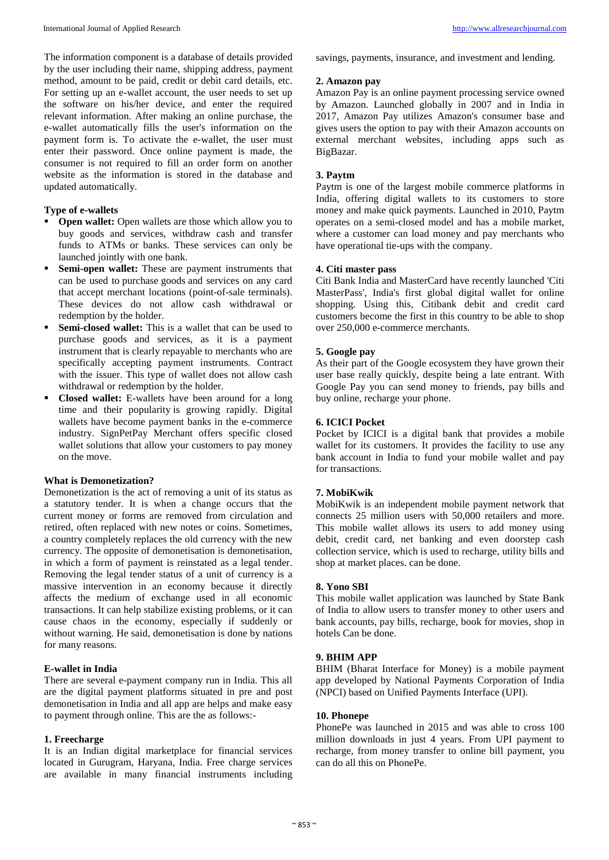The information component is a database of details provided by the user including their name, shipping address, payment method, amount to be paid, credit or debit card details, etc. For setting up an e-wallet account, the user needs to set up the software on his/her device, and enter the required relevant information. After making an online purchase, the e-wallet automatically fills the user's information on the payment form is. To activate the e-wallet, the user must enter their password. Once online payment is made, the consumer is not required to fill an order form on another website as the information is stored in the database and updated automatically.

# **Type of e-wallets**

- **Open wallet:** Open wallets are those which allow you to buy goods and services, withdraw cash and transfer funds to ATMs or banks. These services can only be launched jointly with one bank.
- **Semi-open wallet:** These are payment instruments that can be used to purchase goods and services on any card that accept merchant locations (point-of-sale terminals). These devices do not allow cash withdrawal or redemption by the holder.
- **Semi-closed wallet:** This is a wallet that can be used to purchase goods and services, as it is a payment instrument that is clearly repayable to merchants who are specifically accepting payment instruments. Contract with the issuer. This type of wallet does not allow cash withdrawal or redemption by the holder.
- **Closed wallet:** E-wallets have been around for a long time and their popularity is growing rapidly. Digital wallets have become payment banks in the e-commerce industry. SignPetPay Merchant offers specific closed wallet solutions that allow your customers to pay money on the move.

### **What is Demonetization?**

Demonetization is the act of removing a unit of its status as a statutory tender. It is when a change occurs that the current money or forms are removed from circulation and retired, often replaced with new notes or coins. Sometimes, a country completely replaces the old currency with the new currency. The opposite of demonetisation is demonetisation, in which a form of payment is reinstated as a legal tender. Removing the legal tender status of a unit of currency is a massive intervention in an economy because it directly affects the medium of exchange used in all economic transactions. It can help stabilize existing problems, or it can cause chaos in the economy, especially if suddenly or without warning. He said, demonetisation is done by nations for many reasons.

# **E-wallet in India**

There are several e-payment company run in India. This all are the digital payment platforms situated in pre and post demonetisation in India and all app are helps and make easy to payment through online. This are the as follows:-

#### **1. Freecharge**

It is an Indian digital marketplace for financial services located in Gurugram, Haryana, India. Free charge services are available in many financial instruments including savings, payments, insurance, and investment and lending.

#### **2. Amazon pay**

Amazon Pay is an online payment processing service owned by Amazon. Launched globally in 2007 and in India in 2017, Amazon Pay utilizes Amazon's consumer base and gives users the option to pay with their Amazon accounts on external merchant websites, including apps such as BigBazar.

# **3. Paytm**

Paytm is one of the largest mobile commerce platforms in India, offering digital wallets to its customers to store money and make quick payments. Launched in 2010, Paytm operates on a semi-closed model and has a mobile market, where a customer can load money and pay merchants who have operational tie-ups with the company.

## **4. Citi master pass**

Citi Bank India and MasterCard have recently launched 'Citi MasterPass', India's first global digital wallet for online shopping. Using this, Citibank debit and credit card customers become the first in this country to be able to shop over 250,000 e-commerce merchants.

#### **5. Google pay**

As their part of the Google ecosystem they have grown their user base really quickly, despite being a late entrant. With Google Pay you can send money to friends, pay bills and buy online, recharge your phone.

# **6. ICICI Pocket**

Pocket by ICICI is a digital bank that provides a mobile wallet for its customers. It provides the facility to use any bank account in India to fund your mobile wallet and pay for transactions.

### **7. MobiKwik**

MobiKwik is an independent mobile payment network that connects 25 million users with 50,000 retailers and more. This mobile wallet allows its users to add money using debit, credit card, net banking and even doorstep cash collection service, which is used to recharge, utility bills and shop at market places. can be done.

### **8. Yono SBI**

This mobile wallet application was launched by State Bank of India to allow users to transfer money to other users and bank accounts, pay bills, recharge, book for movies, shop in hotels Can be done.

#### **9. BHIM APP**

BHIM (Bharat Interface for Money) is a mobile payment app developed by National Payments Corporation of India (NPCI) based on Unified Payments Interface (UPI).

#### **10. Phonepe**

PhonePe was launched in 2015 and was able to cross 100 million downloads in just 4 years. From UPI payment to recharge, from money transfer to online bill payment, you can do all this on PhonePe.